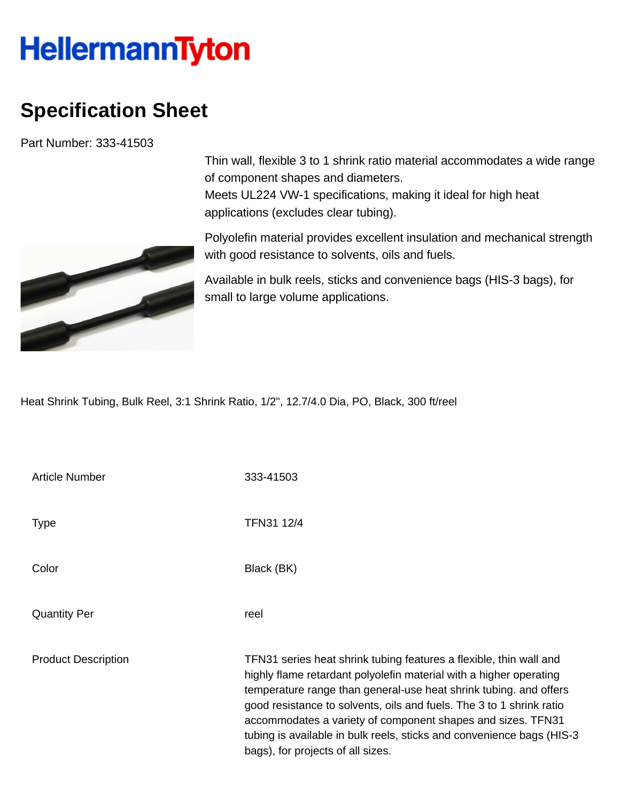## **HellermannTyton**

## **Specification Sheet**

Part Number: 333-41503



Thin wall, flexible 3 to 1 shrink ratio material accommodates a wide range of component shapes and diameters. Meets UL224 VW-1 specifications, making it ideal for high heat applications (excludes clear tubing).

Polyolefin material provides excellent insulation and mechanical strength with good resistance to solvents, oils and fuels.

Available in bulk reels, sticks and convenience bags (HIS-3 bags), for small to large volume applications.

Heat Shrink Tubing, Bulk Reel, 3:1 Shrink Ratio, 1/2", 12.7/4.0 Dia, PO, Black, 300 ft/reel

| <b>Article Number</b>      | 333-41503                                                                                                                                                                                                                                                                                                                                                                                                                                                          |
|----------------------------|--------------------------------------------------------------------------------------------------------------------------------------------------------------------------------------------------------------------------------------------------------------------------------------------------------------------------------------------------------------------------------------------------------------------------------------------------------------------|
| <b>Type</b>                | TFN31 12/4                                                                                                                                                                                                                                                                                                                                                                                                                                                         |
| Color                      | Black (BK)                                                                                                                                                                                                                                                                                                                                                                                                                                                         |
| <b>Quantity Per</b>        | reel                                                                                                                                                                                                                                                                                                                                                                                                                                                               |
| <b>Product Description</b> | TFN31 series heat shrink tubing features a flexible, thin wall and<br>highly flame retardant polyolefin material with a higher operating<br>temperature range than general-use heat shrink tubing. and offers<br>good resistance to solvents, oils and fuels. The 3 to 1 shrink ratio<br>accommodates a variety of component shapes and sizes. TFN31<br>tubing is available in bulk reels, sticks and convenience bags (HIS-3<br>bags), for projects of all sizes. |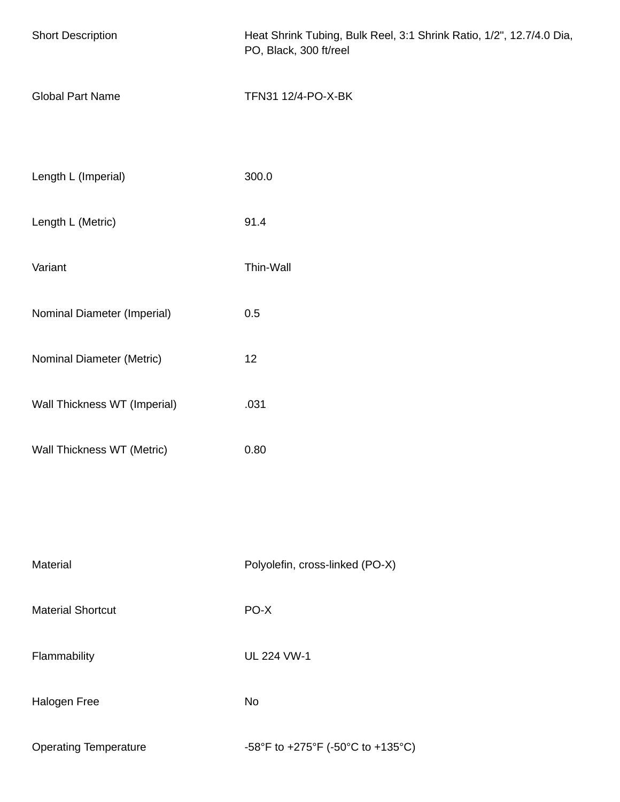| <b>Short Description</b>     | Heat Shrink Tubing, Bulk Reel, 3:1 Shrink Ratio, 1/2", 12.7/4.0 Dia,<br>PO, Black, 300 ft/reel |  |
|------------------------------|------------------------------------------------------------------------------------------------|--|
| <b>Global Part Name</b>      | TFN31 12/4-PO-X-BK                                                                             |  |
|                              |                                                                                                |  |
| Length L (Imperial)          | 300.0                                                                                          |  |
| Length L (Metric)            | 91.4                                                                                           |  |
| Variant                      | Thin-Wall                                                                                      |  |
| Nominal Diameter (Imperial)  | 0.5                                                                                            |  |
| Nominal Diameter (Metric)    | 12                                                                                             |  |
| Wall Thickness WT (Imperial) | .031                                                                                           |  |
| Wall Thickness WT (Metric)   | 0.80                                                                                           |  |
|                              |                                                                                                |  |
|                              |                                                                                                |  |
| Material                     | Polyolefin, cross-linked (PO-X)                                                                |  |
| <b>Material Shortcut</b>     | PO-X                                                                                           |  |
| Flammability                 | <b>UL 224 VW-1</b>                                                                             |  |
| Halogen Free                 | No                                                                                             |  |
| <b>Operating Temperature</b> | -58°F to +275°F (-50°C to +135°C)                                                              |  |